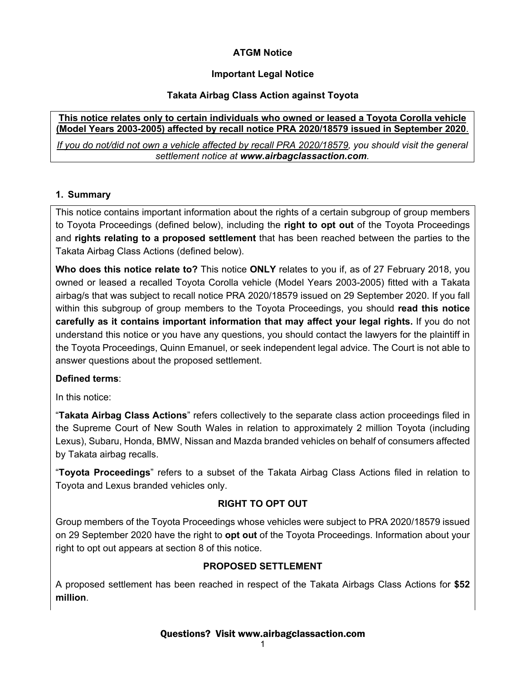## **ATGM Notice**

# **Important Legal Notice**

## **Takata Airbag Class Action against Toyota**

### **This notice relates only to certain individuals who owned or leased a Toyota Corolla vehicle (Model Years 2003-2005) affected by recall notice PRA 2020/18579 issued in September 2020**.

*If you do not/did not own a vehicle affected by recall PRA 2020/18579, you should visit the general settlement notice at www.airbagclassaction.com.* 

# **1. Summary**

This notice contains important information about the rights of a certain subgroup of group members to Toyota Proceedings (defined below), including the **right to opt out** of the Toyota Proceedings and **rights relating to a proposed settlement** that has been reached between the parties to the Takata Airbag Class Actions (defined below).

**Who does this notice relate to?** This notice **ONLY** relates to you if, as of 27 February 2018, you owned or leased a recalled Toyota Corolla vehicle (Model Years 2003-2005) fitted with a Takata airbag/s that was subject to recall notice PRA 2020/18579 issued on 29 September 2020. If you fall within this subgroup of group members to the Toyota Proceedings, you should **read this notice carefully as it contains important information that may affect your legal rights.** If you do not understand this notice or you have any questions, you should contact the lawyers for the plaintiff in the Toyota Proceedings, Quinn Emanuel, or seek independent legal advice. The Court is not able to answer questions about the proposed settlement.

# **Defined terms**:

In this notice:

"**Takata Airbag Class Actions**" refers collectively to the separate class action proceedings filed in the Supreme Court of New South Wales in relation to approximately 2 million Toyota (including Lexus), Subaru, Honda, BMW, Nissan and Mazda branded vehicles on behalf of consumers affected by Takata airbag recalls.

"**Toyota Proceedings**" refers to a subset of the Takata Airbag Class Actions filed in relation to Toyota and Lexus branded vehicles only.

# **RIGHT TO OPT OUT**

Group members of the Toyota Proceedings whose vehicles were subject to PRA 2020/18579 issued on 29 September 2020 have the right to **opt out** of the Toyota Proceedings. Information about your right to opt out appears at section 8 of this notice.

## **PROPOSED SETTLEMENT**

A proposed settlement has been reached in respect of the Takata Airbags Class Actions for **\$52 million**.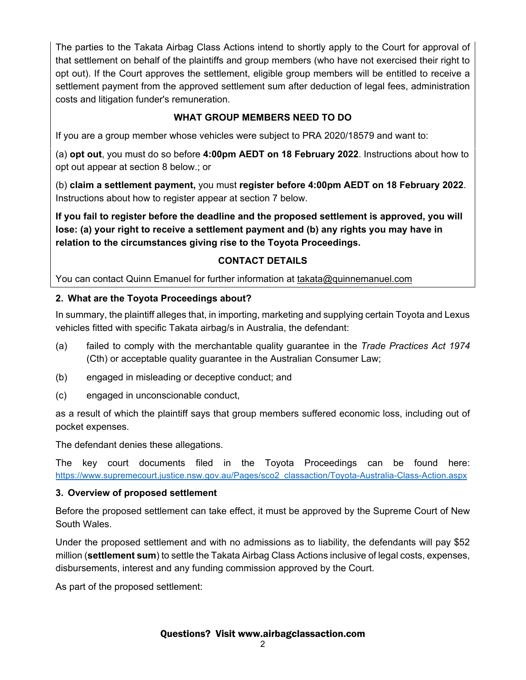The parties to the Takata Airbag Class Actions intend to shortly apply to the Court for approval of that settlement on behalf of the plaintiffs and group members (who have not exercised their right to opt out). If the Court approves the settlement, eligible group members will be entitled to receive a settlement payment from the approved settlement sum after deduction of legal fees, administration costs and litigation funder's remuneration.

# **WHAT GROUP MEMBERS NEED TO DO**

If you are a group member whose vehicles were subject to PRA 2020/18579 and want to:

(a) **opt out**, you must do so before **4:00pm AEDT on 18 February 2022**. Instructions about how to opt out appear at section 8 below.; or

(b) **claim a settlement payment,** you must **register before 4:00pm AEDT on 18 February 2022**. Instructions about how to register appear at section 7 below.

**If you fail to register before the deadline and the proposed settlement is approved, you will lose: (a) your right to receive a settlement payment and (b) any rights you may have in relation to the circumstances giving rise to the Toyota Proceedings.** 

# **CONTACT DETAILS**

You can contact Quinn Emanuel for further information at takata@quinnemanuel.com

# **2. What are the Toyota Proceedings about?**

In summary, the plaintiff alleges that, in importing, marketing and supplying certain Toyota and Lexus vehicles fitted with specific Takata airbag/s in Australia, the defendant:

- (a) failed to comply with the merchantable quality guarantee in the *Trade Practices Act 1974* (Cth) or acceptable quality guarantee in the Australian Consumer Law;
- (b) engaged in misleading or deceptive conduct; and
- (c) engaged in unconscionable conduct,

as a result of which the plaintiff says that group members suffered economic loss, including out of pocket expenses.

The defendant denies these allegations.

The key court documents filed in the Toyota Proceedings can be found here: https://www.supremecourt.justice.nsw.gov.au/Pages/sco2\_classaction/Toyota-Australia-Class-Action.aspx

# **3. Overview of proposed settlement**

Before the proposed settlement can take effect, it must be approved by the Supreme Court of New South Wales.

Under the proposed settlement and with no admissions as to liability, the defendants will pay \$52 million (**settlement sum**) to settle the Takata Airbag Class Actions inclusive of legal costs, expenses, disbursements, interest and any funding commission approved by the Court.

As part of the proposed settlement: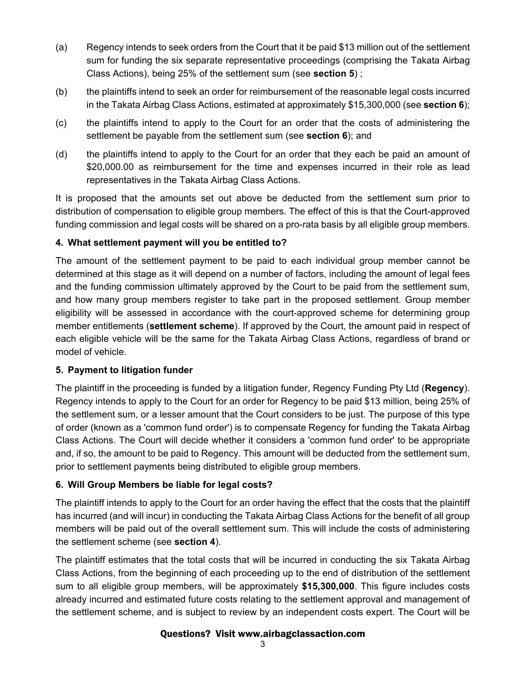- (a) Regency intends to seek orders from the Court that it be paid \$13 million out of the settlement sum for funding the six separate representative proceedings (comprising the Takata Airbag Class Actions), being 25% of the settlement sum (see **section 5**) ;
- (b) the plaintiffs intend to seek an order for reimbursement of the reasonable legal costs incurred in the Takata Airbag Class Actions, estimated at approximately \$15,300,000 (see **section 6**);
- (c) the plaintiffs intend to apply to the Court for an order that the costs of administering the settlement be payable from the settlement sum (see **section 6**); and
- (d) the plaintiffs intend to apply to the Court for an order that they each be paid an amount of \$20,000.00 as reimbursement for the time and expenses incurred in their role as lead representatives in the Takata Airbag Class Actions.

It is proposed that the amounts set out above be deducted from the settlement sum prior to distribution of compensation to eligible group members. The effect of this is that the Court-approved funding commission and legal costs will be shared on a pro-rata basis by all eligible group members.

# **4. What settlement payment will you be entitled to?**

The amount of the settlement payment to be paid to each individual group member cannot be determined at this stage as it will depend on a number of factors, including the amount of legal fees and the funding commission ultimately approved by the Court to be paid from the settlement sum, and how many group members register to take part in the proposed settlement. Group member eligibility will be assessed in accordance with the court-approved scheme for determining group member entitlements (**settlement scheme**). If approved by the Court, the amount paid in respect of each eligible vehicle will be the same for the Takata Airbag Class Actions, regardless of brand or model of vehicle.

## **5. Payment to litigation funder**

The plaintiff in the proceeding is funded by a litigation funder, Regency Funding Pty Ltd (**Regency**). Regency intends to apply to the Court for an order for Regency to be paid \$13 million, being 25% of the settlement sum, or a lesser amount that the Court considers to be just. The purpose of this type of order (known as a 'common fund order') is to compensate Regency for funding the Takata Airbag Class Actions. The Court will decide whether it considers a 'common fund order' to be appropriate and, if so, the amount to be paid to Regency. This amount will be deducted from the settlement sum, prior to settlement payments being distributed to eligible group members.

# **6. Will Group Members be liable for legal costs?**

The plaintiff intends to apply to the Court for an order having the effect that the costs that the plaintiff has incurred (and will incur) in conducting the Takata Airbag Class Actions for the benefit of all group members will be paid out of the overall settlement sum. This will include the costs of administering the settlement scheme (see **section 4**).

The plaintiff estimates that the total costs that will be incurred in conducting the six Takata Airbag Class Actions, from the beginning of each proceeding up to the end of distribution of the settlement sum to all eligible group members, will be approximately **\$15,300,000**. This figure includes costs already incurred and estimated future costs relating to the settlement approval and management of the settlement scheme, and is subject to review by an independent costs expert. The Court will be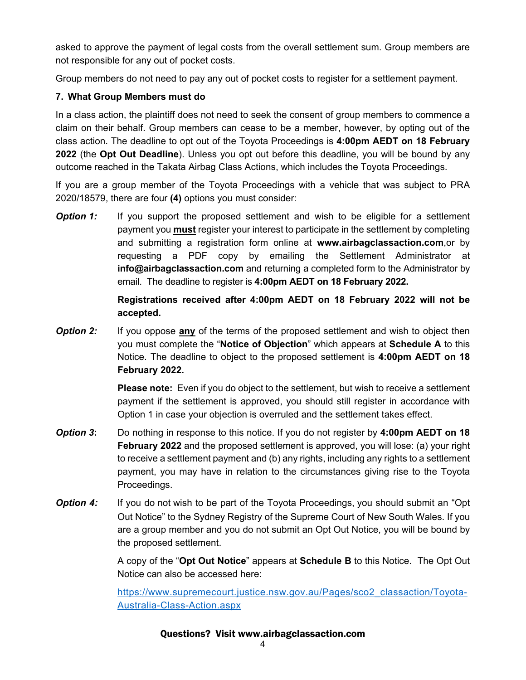asked to approve the payment of legal costs from the overall settlement sum. Group members are not responsible for any out of pocket costs.

Group members do not need to pay any out of pocket costs to register for a settlement payment.

### **7. What Group Members must do**

In a class action, the plaintiff does not need to seek the consent of group members to commence a claim on their behalf. Group members can cease to be a member, however, by opting out of the class action. The deadline to opt out of the Toyota Proceedings is **4:00pm AEDT on 18 February 2022** (the **Opt Out Deadline**). Unless you opt out before this deadline, you will be bound by any outcome reached in the Takata Airbag Class Actions, which includes the Toyota Proceedings.

If you are a group member of the Toyota Proceedings with a vehicle that was subject to PRA 2020/18579, there are four **(4)** options you must consider:

**Option 1:** If you support the proposed settlement and wish to be eligible for a settlement payment you **must** register your interest to participate in the settlement by completing and submitting a registration form online at **www.airbagclassaction.com**,or by requesting a PDF copy by emailing the Settlement Administrator at **info@airbagclassaction.com** and returning a completed form to the Administrator by email. The deadline to register is **4:00pm AEDT on 18 February 2022.** 

## **Registrations received after 4:00pm AEDT on 18 February 2022 will not be accepted.**

**Option 2:** If you oppose **any** of the terms of the proposed settlement and wish to object then you must complete the "**Notice of Objection**" which appears at **Schedule A** to this Notice. The deadline to object to the proposed settlement is **4:00pm AEDT on 18 February 2022.**

> **Please note:** Even if you do object to the settlement, but wish to receive a settlement payment if the settlement is approved, you should still register in accordance with Option 1 in case your objection is overruled and the settlement takes effect.

- *Option 3***:** Do nothing in response to this notice. If you do not register by **4:00pm AEDT on 18 February 2022** and the proposed settlement is approved, you will lose: (a) your right to receive a settlement payment and (b) any rights, including any rights to a settlement payment, you may have in relation to the circumstances giving rise to the Toyota Proceedings.
- **Option 4:** If you do not wish to be part of the Toyota Proceedings, you should submit an "Opt Out Notice" to the Sydney Registry of the Supreme Court of New South Wales. If you are a group member and you do not submit an Opt Out Notice, you will be bound by the proposed settlement.

A copy of the "**Opt Out Notice**" appears at **Schedule B** to this Notice. The Opt Out Notice can also be accessed here:

https://www.supremecourt.justice.nsw.gov.au/Pages/sco2\_classaction/Toyota-Australia-Class-Action.aspx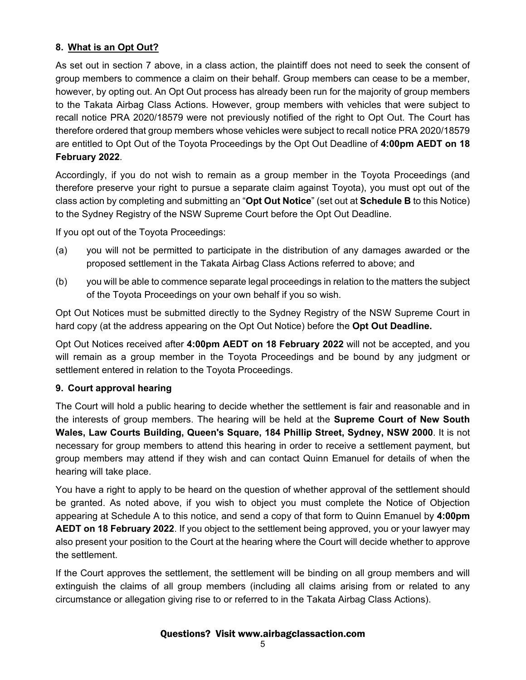## **8. What is an Opt Out?**

As set out in section 7 above, in a class action, the plaintiff does not need to seek the consent of group members to commence a claim on their behalf. Group members can cease to be a member, however, by opting out. An Opt Out process has already been run for the majority of group members to the Takata Airbag Class Actions. However, group members with vehicles that were subject to recall notice PRA 2020/18579 were not previously notified of the right to Opt Out. The Court has therefore ordered that group members whose vehicles were subject to recall notice PRA 2020/18579 are entitled to Opt Out of the Toyota Proceedings by the Opt Out Deadline of **4:00pm AEDT on 18 February 2022**.

Accordingly, if you do not wish to remain as a group member in the Toyota Proceedings (and therefore preserve your right to pursue a separate claim against Toyota), you must opt out of the class action by completing and submitting an "**Opt Out Notice**" (set out at **Schedule B** to this Notice) to the Sydney Registry of the NSW Supreme Court before the Opt Out Deadline.

If you opt out of the Toyota Proceedings:

- (a) you will not be permitted to participate in the distribution of any damages awarded or the proposed settlement in the Takata Airbag Class Actions referred to above; and
- (b) you will be able to commence separate legal proceedings in relation to the matters the subject of the Toyota Proceedings on your own behalf if you so wish.

Opt Out Notices must be submitted directly to the Sydney Registry of the NSW Supreme Court in hard copy (at the address appearing on the Opt Out Notice) before the **Opt Out Deadline.**

Opt Out Notices received after **4:00pm AEDT on 18 February 2022** will not be accepted, and you will remain as a group member in the Toyota Proceedings and be bound by any judgment or settlement entered in relation to the Toyota Proceedings.

#### **9. Court approval hearing**

The Court will hold a public hearing to decide whether the settlement is fair and reasonable and in the interests of group members. The hearing will be held at the **Supreme Court of New South Wales, Law Courts Building, Queen's Square, 184 Phillip Street, Sydney, NSW 2000**. It is not necessary for group members to attend this hearing in order to receive a settlement payment, but group members may attend if they wish and can contact Quinn Emanuel for details of when the hearing will take place.

You have a right to apply to be heard on the question of whether approval of the settlement should be granted. As noted above, if you wish to object you must complete the Notice of Objection appearing at Schedule A to this notice, and send a copy of that form to Quinn Emanuel by **4:00pm AEDT on 18 February 2022**. If you object to the settlement being approved, you or your lawyer may also present your position to the Court at the hearing where the Court will decide whether to approve the settlement.

If the Court approves the settlement, the settlement will be binding on all group members and will extinguish the claims of all group members (including all claims arising from or related to any circumstance or allegation giving rise to or referred to in the Takata Airbag Class Actions).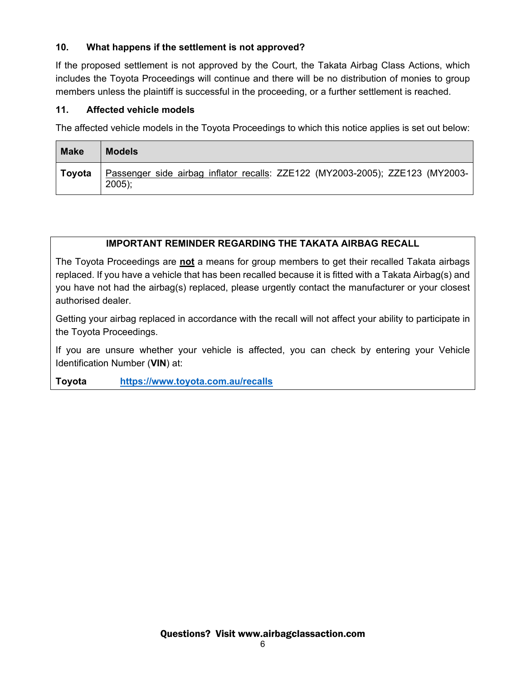## **10. What happens if the settlement is not approved?**

If the proposed settlement is not approved by the Court, the Takata Airbag Class Actions, which includes the Toyota Proceedings will continue and there will be no distribution of monies to group members unless the plaintiff is successful in the proceeding, or a further settlement is reached.

### **11. Affected vehicle models**

The affected vehicle models in the Toyota Proceedings to which this notice applies is set out below:

| <b>Make</b> | <b>Models</b>                                                                             |
|-------------|-------------------------------------------------------------------------------------------|
| Tovota      | Passenger side airbag inflator recalls: ZZE122 (MY2003-2005); ZZE123 (MY2003-<br>$2005$ ; |

# **IMPORTANT REMINDER REGARDING THE TAKATA AIRBAG RECALL**

The Toyota Proceedings are **not** a means for group members to get their recalled Takata airbags replaced. If you have a vehicle that has been recalled because it is fitted with a Takata Airbag(s) and you have not had the airbag(s) replaced, please urgently contact the manufacturer or your closest authorised dealer.

Getting your airbag replaced in accordance with the recall will not affect your ability to participate in the Toyota Proceedings.

If you are unsure whether your vehicle is affected, you can check by entering your Vehicle Identification Number (**VIN**) at:

**Toyota https://www.toyota.com.au/recalls**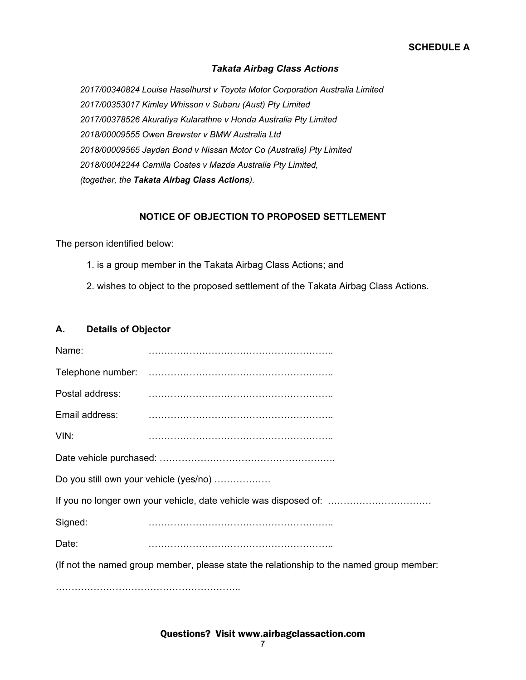#### *Takata Airbag Class Actions*

*2017/00340824 Louise Haselhurst v Toyota Motor Corporation Australia Limited 2017/00353017 Kimley Whisson v Subaru (Aust) Pty Limited 2017/00378526 Akuratiya Kularathne v Honda Australia Pty Limited 2018/00009555 Owen Brewster v BMW Australia Ltd 2018/00009565 Jaydan Bond v Nissan Motor Co (Australia) Pty Limited 2018/00042244 Camilla Coates v Mazda Australia Pty Limited, (together, the Takata Airbag Class Actions).*

#### **NOTICE OF OBJECTION TO PROPOSED SETTLEMENT**

The person identified below:

- 1. is a group member in the Takata Airbag Class Actions; and
- 2. wishes to object to the proposed settlement of the Takata Airbag Class Actions.

#### **A. Details of Objector**

……………………………………………………………………………

| Name:                                                                                    |  |  |  |  |
|------------------------------------------------------------------------------------------|--|--|--|--|
|                                                                                          |  |  |  |  |
| Postal address:                                                                          |  |  |  |  |
| Email address:                                                                           |  |  |  |  |
| VIN:                                                                                     |  |  |  |  |
|                                                                                          |  |  |  |  |
| Do you still own your vehicle (yes/no)                                                   |  |  |  |  |
| If you no longer own your vehicle, date vehicle was disposed of:                         |  |  |  |  |
| Signed:                                                                                  |  |  |  |  |
| Date:                                                                                    |  |  |  |  |
| (If not the named group member, please state the relationship to the named group member: |  |  |  |  |
|                                                                                          |  |  |  |  |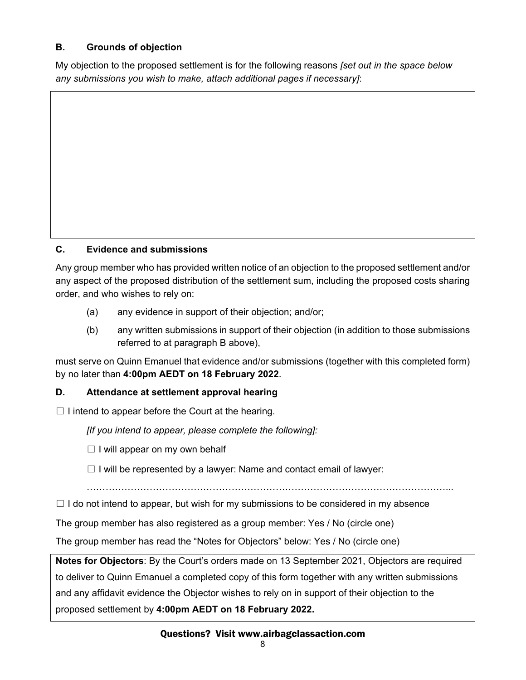# **B. Grounds of objection**

My objection to the proposed settlement is for the following reasons *[set out in the space below any submissions you wish to make, attach additional pages if necessary]*:

# **C. Evidence and submissions**

Any group member who has provided written notice of an objection to the proposed settlement and/or any aspect of the proposed distribution of the settlement sum, including the proposed costs sharing order, and who wishes to rely on:

- (a) any evidence in support of their objection; and/or;
- (b) any written submissions in support of their objection (in addition to those submissions referred to at paragraph B above),

must serve on Quinn Emanuel that evidence and/or submissions (together with this completed form) by no later than **4:00pm AEDT on 18 February 2022**.

## **D. Attendance at settlement approval hearing**

 $\Box$  I intend to appear before the Court at the hearing.

*[If you intend to appear, please complete the following]:* 

 $\Box$  I will appear on my own behalf

 $\Box$  I will be represented by a lawyer: Name and contact email of lawyer:

……………………………………………………………………………………………………...

 $\square$  I do not intend to appear, but wish for my submissions to be considered in my absence

The group member has also registered as a group member: Yes / No (circle one)

The group member has read the "Notes for Objectors" below: Yes / No (circle one)

**Notes for Objectors**: By the Court's orders made on 13 September 2021, Objectors are required to deliver to Quinn Emanuel a completed copy of this form together with any written submissions and any affidavit evidence the Objector wishes to rely on in support of their objection to the proposed settlement by **4:00pm AEDT on 18 February 2022.**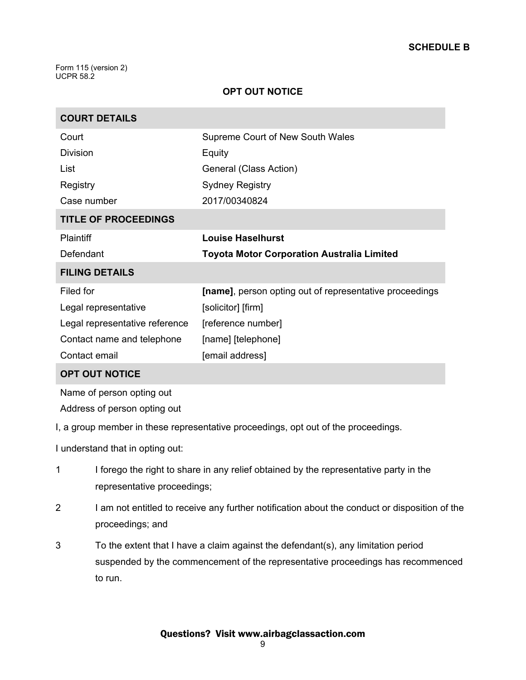Form 115 (version 2) UCPR 58.2

### **OPT OUT NOTICE**

| <b>COURT DETAILS</b>           |                                                         |  |  |  |
|--------------------------------|---------------------------------------------------------|--|--|--|
| Court                          | <b>Supreme Court of New South Wales</b>                 |  |  |  |
| <b>Division</b>                | Equity                                                  |  |  |  |
| List                           | General (Class Action)                                  |  |  |  |
| Registry                       | <b>Sydney Registry</b>                                  |  |  |  |
| Case number                    | 2017/00340824                                           |  |  |  |
| <b>TITLE OF PROCEEDINGS</b>    |                                                         |  |  |  |
| <b>Plaintiff</b>               | <b>Louise Haselhurst</b>                                |  |  |  |
| Defendant                      | <b>Toyota Motor Corporation Australia Limited</b>       |  |  |  |
| <b>FILING DETAILS</b>          |                                                         |  |  |  |
| Filed for                      | [name], person opting out of representative proceedings |  |  |  |
| Legal representative           | [solicitor] [firm]                                      |  |  |  |
| Legal representative reference | [reference number]                                      |  |  |  |
| Contact name and telephone     | [name] [telephone]                                      |  |  |  |
| Contact email                  | [email address]                                         |  |  |  |
|                                |                                                         |  |  |  |

#### **OPT OUT NOTICE**

Name of person opting out

Address of person opting out

I, a group member in these representative proceedings, opt out of the proceedings.

I understand that in opting out:

- 1 I forego the right to share in any relief obtained by the representative party in the representative proceedings;
- 2 I am not entitled to receive any further notification about the conduct or disposition of the proceedings; and
- 3 To the extent that I have a claim against the defendant(s), any limitation period suspended by the commencement of the representative proceedings has recommenced to run.